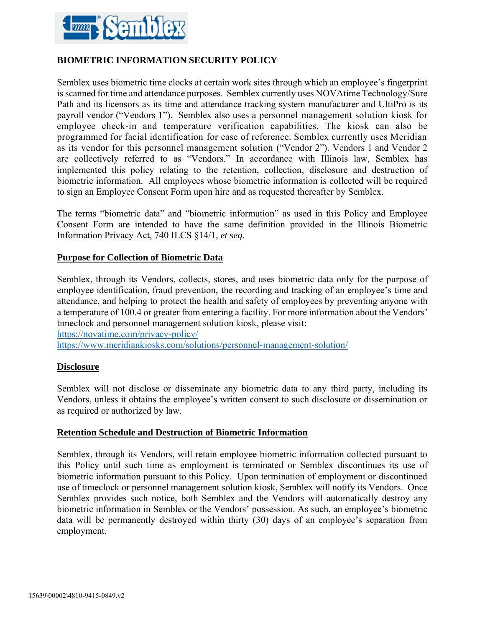

# **BIOMETRIC INFORMATION SECURITY POLICY**

Semblex uses biometric time clocks at certain work sites through which an employee's fingerprint is scanned for time and attendance purposes. Semblex currently uses NOVAtime Technology/Sure Path and its licensors as its time and attendance tracking system manufacturer and UltiPro is its payroll vendor ("Vendors 1"). Semblex also uses a personnel management solution kiosk for employee check-in and temperature verification capabilities. The kiosk can also be programmed for facial identification for ease of reference. Semblex currently uses Meridian as its vendor for this personnel management solution ("Vendor 2"). Vendors 1 and Vendor 2 are collectively referred to as "Vendors." In accordance with Illinois law, Semblex has implemented this policy relating to the retention, collection, disclosure and destruction of biometric information. All employees whose biometric information is collected will be required to sign an Employee Consent Form upon hire and as requested thereafter by Semblex.

The terms "biometric data" and "biometric information" as used in this Policy and Employee Consent Form are intended to have the same definition provided in the Illinois Biometric Information Privacy Act, 740 ILCS §14/1, *et seq*.

## **Purpose for Collection of Biometric Data**

Semblex, through its Vendors, collects, stores, and uses biometric data only for the purpose of employee identification, fraud prevention, the recording and tracking of an employee's time and attendance, and helping to protect the health and safety of employees by preventing anyone with a temperature of 100.4 or greater from entering a facility. For more information about the Vendors' timeclock and personnel management solution kiosk, please visit:

<https://novatime.com/privacy-policy/>

<https://www.meridiankiosks.com/solutions/personnel-management-solution/>

### **Disclosure**

Semblex will not disclose or disseminate any biometric data to any third party, including its Vendors, unless it obtains the employee's written consent to such disclosure or dissemination or as required or authorized by law.

#### **Retention Schedule and Destruction of Biometric Information**

Semblex, through its Vendors, will retain employee biometric information collected pursuant to this Policy until such time as employment is terminated or Semblex discontinues its use of biometric information pursuant to this Policy. Upon termination of employment or discontinued use of timeclock or personnel management solution kiosk, Semblex will notify its Vendors. Once Semblex provides such notice, both Semblex and the Vendors will automatically destroy any biometric information in Semblex or the Vendors' possession. As such, an employee's biometric data will be permanently destroyed within thirty (30) days of an employee's separation from employment.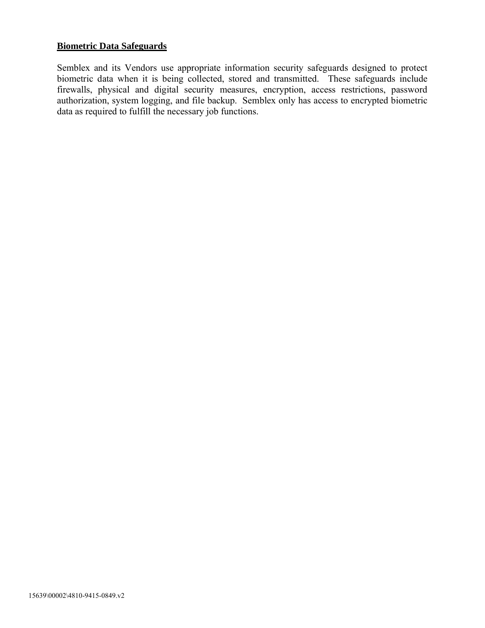### **Biometric Data Safeguards**

Semblex and its Vendors use appropriate information security safeguards designed to protect biometric data when it is being collected, stored and transmitted. These safeguards include firewalls, physical and digital security measures, encryption, access restrictions, password authorization, system logging, and file backup. Semblex only has access to encrypted biometric data as required to fulfill the necessary job functions.